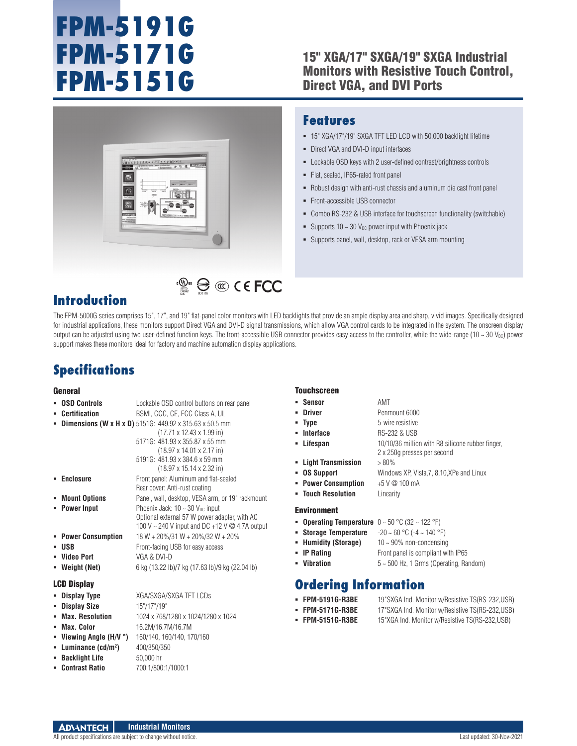# **FPM-5191G FPM-5171G FPM-5151G**

### 15" XGA/17" SXGA/19" SXGA Industrial Monitors with Resistive Touch Control, Direct VGA, and DVI Ports



### **Features**

- 15" XGA/17"/19" SXGA TFT LED LCD with 50,000 backlight lifetime
- **-** Direct VGA and DVI-D input interfaces
- Lockable OSD keys with 2 user-defined contrast/brightness controls
- Flat, sealed, IP65-rated front panel
- Robust design with anti-rust chassis and aluminum die cast front panel
- Front-accessible USB connector
- Combo RS-232 & USB interface for touchscreen functionality (switchable)
- Supports  $10 \sim 30$  V<sub>DC</sub> power input with Phoenix jack
- Supports panel, wall, desktop, rack or VESA arm mounting

### **Introduction**

The FPM-5000G series comprises 15", 17", and 19" flat-panel color monitors with LED backlights that provide an ample display area and sharp, vivid images. Specifically designed for industrial applications, these monitors support Direct VGA and DVI-D signal transmissions, which allow VGA control cards to be integrated in the system. The onscreen display output can be adjusted using two user-defined function keys. The front-accessible USB connector provides easy access to the controller, while the wide-range (10 ~ 30  $V_{\text{DC}}$ ) power support makes these monitors ideal for factory and machine automation display applications.

 $\mathbb{C}^{\mathbb{C}^n}$   $\bigoplus$   $\mathbb{C}$   $\mathbb{C}$   $\in$  FCC

### **Specifications**

### General

| General                                                                                                                                                     |                                                                                                                                                                                                                                                                                                                                                                                                                                                                                                                                                                                                                                                                                                                                                                                                                                    | <b>Touchscreen</b>                                                                                                                                                                                                                                                                                                                                |                                                                                                                                                                                                                                                                                                                                                                                                                 |
|-------------------------------------------------------------------------------------------------------------------------------------------------------------|------------------------------------------------------------------------------------------------------------------------------------------------------------------------------------------------------------------------------------------------------------------------------------------------------------------------------------------------------------------------------------------------------------------------------------------------------------------------------------------------------------------------------------------------------------------------------------------------------------------------------------------------------------------------------------------------------------------------------------------------------------------------------------------------------------------------------------|---------------------------------------------------------------------------------------------------------------------------------------------------------------------------------------------------------------------------------------------------------------------------------------------------------------------------------------------------|-----------------------------------------------------------------------------------------------------------------------------------------------------------------------------------------------------------------------------------------------------------------------------------------------------------------------------------------------------------------------------------------------------------------|
| • OSD Controls<br>• Certification<br>• Enclosure<br>• Mount Options<br>• Power Input<br>• Power Consumption<br><b>USB</b><br>- Video Port<br>• Weight (Net) | Lockable OSD control buttons on rear panel<br>BSMI, CCC, CE, FCC Class A, UL<br><b>- Dimensions (W x H x D)</b> 5151G: $449.92 \times 315.63 \times 50.5$ mm<br>$(17.71 \times 12.43 \times 1.99 \text{ in})$<br>5171G: 481.93 x 355.87 x 55 mm<br>$(18.97 \times 14.01 \times 2.17 \text{ in})$<br>5191G: 481.93 x 384.6 x 59 mm<br>$(18.97 \times 15.14 \times 2.32 \text{ in})$<br>Front panel: Aluminum and flat-sealed<br>Rear cover: Anti-rust coating<br>Panel, wall, desktop, VESA arm, or 19" rackmount<br>Phoenix Jack: $10 \sim 30$ V <sub>pc</sub> input<br>Optional external 57 W power adapter, with AC<br>100 V $\sim$ 240 V input and DC +12 V $\omega$ 4.7A output<br>$18 W + 20\%/31 W + 20\%/32 W + 20\%$<br>Front-facing USB for easy access<br>VGA & DVI-D<br>6 kg (13.22 lb)/7 kg (17.63 lb)/9 kg (22.04 lb) | • Sensor<br><b>-</b> Driver<br>• Type<br>• Interface<br>• Lifespan<br>- Light Transmission<br>• OS Support<br>• Power Consumption<br>• Touch Resolution<br><b>Environment</b><br><b>• Operating Temperature</b> $0 \sim 50 \degree C$ (32 $\sim$ 122 $\degree F$ )<br>• Storage Temperature<br>• Humidity (Storage)<br>• IP Rating<br>• Vibration | AMT<br>Penmount 6000<br>5-wire resistive<br><b>RS-232 &amp; USB</b><br>10/10/36 million with R8 silicone rubber finger.<br>2 x 250g presses per second<br>$>80\%$<br>Windows XP, Vista, 7, 8, 10, XPe and Linux<br>$+5$ V $@$ 100 mA<br>Linearity<br>$-20 \sim 60$ °C ( $-4 \sim 140$ °F)<br>$10 \sim 90\%$ non-condensing<br>Front panel is compliant with IP65<br>$5 \sim 500$ Hz, 1 Grms (Operating, Random) |
| <b>LCD Display</b><br>• Display Type<br>• Display Size<br>• Max. Resolution<br>• Max. Color<br>- Viewing Angle (H/V $^{\circ}$ )                            | XGA/SXGA/SXGA TFT LCDs<br>15"/17"/19"<br>1024 x 768/1280 x 1024/1280 x 1024<br>16.2M/16.7M/16.7M<br>160/140, 160/140, 170/160                                                                                                                                                                                                                                                                                                                                                                                                                                                                                                                                                                                                                                                                                                      | <b>Ordering Information</b><br>• FPM-5191G-R3BE<br>• FPM-5171G-R3BE<br>• FPM-5151G-R3BE                                                                                                                                                                                                                                                           | 19"SXGA Ind. Monitor w/Resistive TS(RS-232,USB)<br>17"SXGA Ind. Monitor w/Resistive TS(RS-232,USB)<br>15"XGA Ind. Monitor w/Resistive TS(RS-232,USB)                                                                                                                                                                                                                                                            |

#### **Industrial Monitors ADVANTECH**

**)** 400/350/350

**Luminance (cd/m2**

 **Backlight Life** 50,000 hr **Contrast Ratio** 700:1/800:1/1000:1